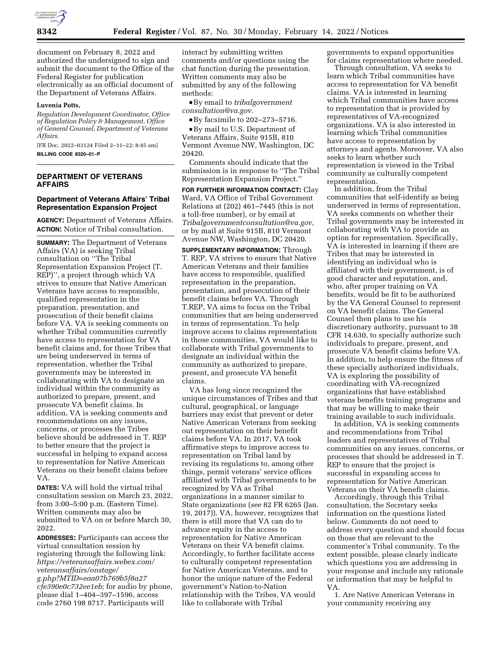

document on February 8, 2022 and authorized the undersigned to sign and submit the document to the Office of the Federal Register for publication electronically as an official document of the Department of Veterans Affairs.

#### **Luvenia Potts,**

*Regulation Development Coordinator, Office of Regulation Policy & Management, Office of General Counsel, Department of Veterans Affairs.* 

[FR Doc. 2022–03124 Filed 2–11–22; 8:45 am] **BILLING CODE 8320–01–P** 

# **DEPARTMENT OF VETERANS AFFAIRS**

### **Department of Veterans Affairs' Tribal Representation Expansion Project**

**AGENCY:** Department of Veterans Affairs. **ACTION:** Notice of Tribal consultation.

**SUMMARY:** The Department of Veterans Affairs (VA) is seeking Tribal consultation on ''The Tribal Representation Expansion Project (T. REP)'', a project through which VA strives to ensure that Native American Veterans have access to responsible, qualified representation in the preparation, presentation, and prosecution of their benefit claims before VA. VA is seeking comments on whether Tribal communities currently have access to representation for VA benefit claims and, for those Tribes that are being underserved in terms of representation, whether the Tribal governments may be interested in collaborating with VA to designate an individual within the community as authorized to prepare, present, and prosecute VA benefit claims. In addition, VA is seeking comments and recommendations on any issues, concerns, or processes the Tribes believe should be addressed in T. REP to better ensure that the project is successful in helping to expand access to representation for Native American Veterans on their benefit claims before VA.

**DATES:** VA will hold the virtual tribal consultation session on March 23, 2022, from 3:00–5:00 p.m. (Eastern Time). Written comments may also be submitted to VA on or before March 30, 2022.

**ADDRESSES:** Participants can access the virtual consultation session by registering through the following link: *[https://veteransaffairs.webex.com/](https://veteransaffairs.webex.com/veteransaffairs/onstage/g.php?MTID=eaa07b769b5f8a27cfe390e0c732ee1eb) [veteransaffairs/onstage/](https://veteransaffairs.webex.com/veteransaffairs/onstage/g.php?MTID=eaa07b769b5f8a27cfe390e0c732ee1eb)  [g.php?MTID=eaa07b769b5f8a27](https://veteransaffairs.webex.com/veteransaffairs/onstage/g.php?MTID=eaa07b769b5f8a27cfe390e0c732ee1eb) [cfe390e0c732ee1eb](https://veteransaffairs.webex.com/veteransaffairs/onstage/g.php?MTID=eaa07b769b5f8a27cfe390e0c732ee1eb)*; for audio by phone, please dial 1–404–397–1596, access code 2760 198 8717. Participants will

interact by submitting written comments and/or questions using the chat function during the presentation. Written comments may also be submitted by any of the following methods:

D By email to *[tribalgovernment](mailto:tribalgovernmentconsultation@va.gov) [consultation@va.gov.](mailto:tribalgovernmentconsultation@va.gov)* 

 $\blacktriangleright$  By facsimile to 202–273–5716. ■ By mail to U.S. Department of

Veterans Affairs, Suite 915B, 810 Vermont Avenue NW, Washington, DC 20420.

Comments should indicate that the submission is in response to ''The Tribal Representation Expansion Project.''

**FOR FURTHER INFORMATION CONTACT:** Clay Ward, VA Office of Tribal Government Relations at (202) 461–7445 (this is not a toll-free number), or by email at *[Tribalgovernmentconsultation@va.gov,](mailto:Tribalgovernmentconsultation@va.gov)*  or by mail at Suite 915B, 810 Vermont Avenue NW, Washington, DC 20420.

**SUPPLEMENTARY INFORMATION:** Through T. REP, VA strives to ensure that Native American Veterans and their families have access to responsible, qualified representation in the preparation, presentation, and prosecution of their benefit claims before VA. Through T.REP, VA aims to focus on the Tribal communities that are being underserved in terms of representation. To help improve access to claims representation in those communities, VA would like to collaborate with Tribal governments to designate an individual within the community as authorized to prepare, present, and prosecute VA benefit claims.

VA has long since recognized the unique circumstances of Tribes and that cultural, geographical, or language barriers may exist that prevent or deter Native American Veterans from seeking out representation on their benefit claims before VA. In 2017, VA took affirmative steps to improve access to representation on Tribal land by revising its regulations to, among other things, permit veterans' service offices affiliated with Tribal governments to be recognized by VA as Tribal organizations in a manner similar to State organizations (*see* 82 FR 6265 (Jan. 19, 2017)). VA, however, recognizes that there is still more that VA can do to advance equity in the access to representation for Native American Veterans on their VA benefit claims. Accordingly, to further facilitate access to culturally competent representation for Native American Veterans, and to honor the unique nature of the Federal government's Nation-to-Nation relationship with the Tribes, VA would like to collaborate with Tribal

governments to expand opportunities for claims representation where needed.

Through consultation, VA seeks to learn which Tribal communities have access to representation for VA benefit claims. VA is interested in learning which Tribal communities have access to representation that is provided by representatives of VA-recognized organizations. VA is also interested in learning which Tribal communities have access to representation by attorneys and agents. Moreover, VA also seeks to learn whether such representation is viewed in the Tribal community as culturally competent representation.

In addition, from the Tribal communities that self-identify as being underserved in terms of representation, VA seeks comments on whether their Tribal governments may be interested in collaborating with VA to provide an option for representation. Specifically, VA is interested in learning if there are Tribes that may be interested in identifying an individual who is affiliated with their government, is of good character and reputation, and, who, after proper training on VA benefits, would be fit to be authorized by the VA General Counsel to represent on VA benefit claims. The General Counsel then plans to use his discretionary authority, pursuant to 38 CFR 14.630, to specially authorize such individuals to prepare, present, and prosecute VA benefit claims before VA. In addition, to help ensure the fitness of these specially authorized individuals, VA is exploring the possibility of coordinating with VA-recognized organizations that have established veterans benefits training programs and that may be willing to make their training available to such individuals.

In addition, VA is seeking comments and recommendations from Tribal leaders and representatives of Tribal communities on any issues, concerns, or processes that should be addressed in T. REP to ensure that the project is successful in expanding access to representation for Native American Veterans on their VA benefit claims.

Accordingly, through this Tribal consultation, the Secretary seeks information on the questions listed below. Comments do not need to address every question and should focus on those that are relevant to the commenter's Tribal community. To the extent possible, please clearly indicate which questions you are addressing in your response and include any rationale or information that may be helpful to VA.

1. Are Native American Veterans in your community receiving any